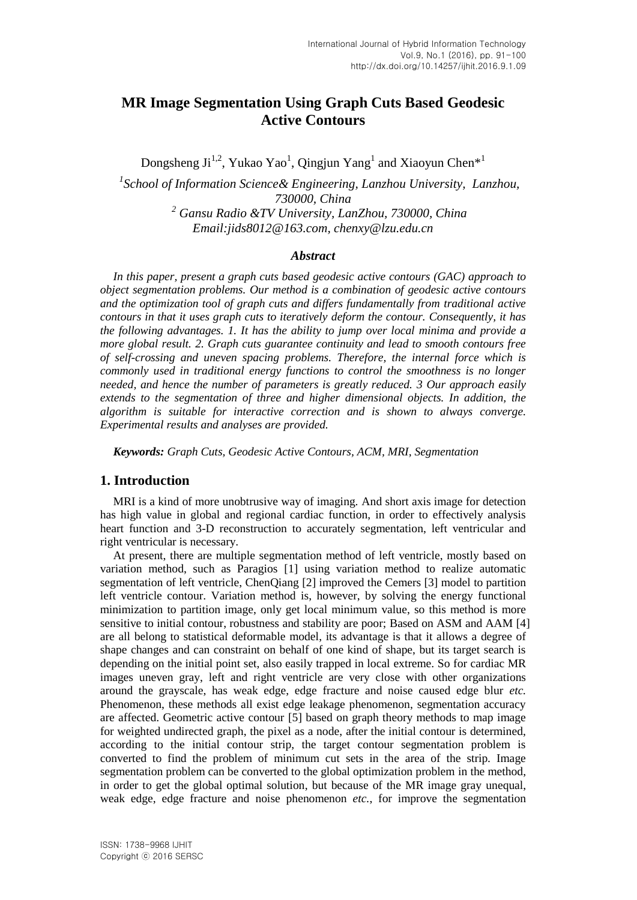# **MR Image Segmentation Using Graph Cuts Based Geodesic Active Contours**

Dongsheng Ji<sup>1,2</sup>, Yukao Yao<sup>1</sup>, Qingjun Yang<sup>1</sup> and Xiaoyun Chen\*<sup>1</sup>

*1 School of Information Science& Engineering, Lanzhou University, Lanzhou, 730000, China <sup>2</sup> Gansu Radio &TV University, LanZhou, 730000, China Email:jids8012@163.com, chenxy@lzu.edu.cn*

#### *Abstract*

*In this paper, present a graph cuts based geodesic active contours (GAC) approach to object segmentation problems. Our method is a combination of geodesic active contours and the optimization tool of graph cuts and differs fundamentally from traditional active contours in that it uses graph cuts to iteratively deform the contour. Consequently, it has the following advantages. 1. It has the ability to jump over local minima and provide a more global result. 2. Graph cuts guarantee continuity and lead to smooth contours free of self-crossing and uneven spacing problems. Therefore, the internal force which is commonly used in traditional energy functions to control the smoothness is no longer needed, and hence the number of parameters is greatly reduced. 3 Our approach easily extends to the segmentation of three and higher dimensional objects. In addition, the algorithm is suitable for interactive correction and is shown to always converge. Experimental results and analyses are provided.*

*Keywords: Graph Cuts, Geodesic Active Contours, ACM, MRI, Segmentation*

### **1. Introduction**

MRI is a kind of more unobtrusive way of imaging. And short axis image for detection has high value in global and regional cardiac function, in order to effectively analysis heart function and 3-D reconstruction to accurately segmentation, left ventricular and right ventricular is necessary.

At present, there are multiple segmentation method of left ventricle, mostly based on variation method, such as Paragios [1] using variation method to realize automatic segmentation of left ventricle, ChenQiang [2] improved the Cemers [3] model to partition left ventricle contour. Variation method is, however, by solving the energy functional minimization to partition image, only get local minimum value, so this method is more sensitive to initial contour, robustness and stability are poor; Based on ASM and AAM [4] are all belong to statistical deformable model, its advantage is that it allows a degree of shape changes and can constraint on behalf of one kind of shape, but its target search is depending on the initial point set, also easily trapped in local extreme. So for cardiac MR images uneven gray, left and right ventricle are very close with other organizations around the grayscale, has weak edge, edge fracture and noise caused edge blur *etc.* Phenomenon, these methods all exist edge leakage phenomenon, segmentation accuracy are affected. Geometric active contour [5] based on graph theory methods to map image for weighted undirected graph, the pixel as a node, after the initial contour is determined, according to the initial contour strip, the target contour segmentation problem is converted to find the problem of minimum cut sets in the area of the strip. Image segmentation problem can be converted to the global optimization problem in the method, in order to get the global optimal solution, but because of the MR image gray unequal, weak edge, edge fracture and noise phenomenon *etc.*, for improve the segmentation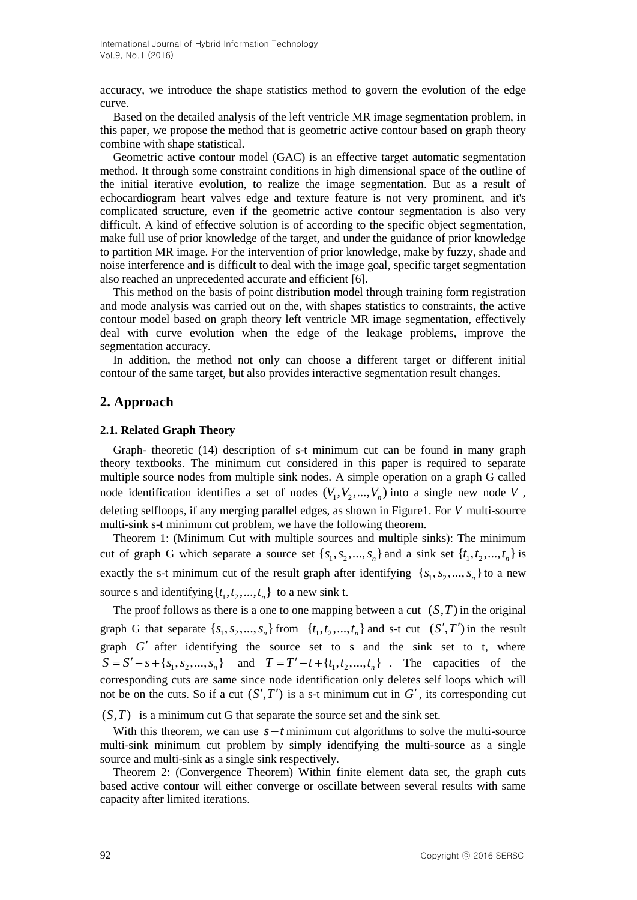accuracy, we introduce the shape statistics method to govern the evolution of the edge curve.

Based on the detailed analysis of the left ventricle MR image segmentation problem, in this paper, we propose the method that is geometric active contour based on graph theory combine with shape statistical.

Geometric active contour model (GAC) is an effective target automatic segmentation method. It through some constraint conditions in high dimensional space of the outline of the initial iterative evolution, to realize the image segmentation. But as a result of echocardiogram heart valves edge and texture feature is not very prominent, and it's complicated structure, even if the geometric active contour segmentation is also very difficult. A kind of effective solution is of according to the specific object segmentation, make full use of prior knowledge of the target, and under the guidance of prior knowledge to partition MR image. For the intervention of prior knowledge, make by fuzzy, shade and noise interference and is difficult to deal with the image goal, specific target segmentation also reached an unprecedented accurate and efficient [6].

This method on the basis of point distribution model through training form registration and mode analysis was carried out on the, with shapes statistics to constraints, the active contour model based on graph theory left ventricle MR image segmentation, effectively deal with curve evolution when the edge of the leakage problems, improve the segmentation accuracy.

In addition, the method not only can choose a different target or different initial contour of the same target, but also provides interactive segmentation result changes.

## **2. Approach**

#### **2.1. Related Graph Theory**

Graph- theoretic (14) description of s-t minimum cut can be found in many graph theory textbooks. The minimum cut considered in this paper is required to separate multiple source nodes from multiple sink nodes. A simple operation on a graph G called node identification identifies a set of nodes  $(V_1, V_2, ..., V_n)$  into a single new node V, deleting selfloops, if any merging parallel edges, as shown in Figure1. For *V* multi-source multi-sink s-t minimum cut problem, we have the following theorem.

Theorem 1: (Minimum Cut with multiple sources and multiple sinks): The minimum cut of graph G which separate a source set  $\{s_1, s_2, ..., s_n\}$  and a sink set  $\{t_1, t_2, ..., t_n\}$  is exactly the s-t minimum cut of the result graph after identifying  $\{s_1, s_2, ..., s_n\}$  to a new source s and identifying  $\{t_1, t_2, ..., t_n\}$  to a new sink t.

The proof follows as there is a one to one mapping between a cut  $(S,T)$  in the original graph G that separate  $\{s_1, s_2, ..., s_n\}$  from  $\{t_1, t_2, ..., t_n\}$  and s-t cut  $(S', T')$  in the result graph  $G'$  after identifying the source set to s and the sink set to t, where  $S = S' - s + \{s_1, s_2, ..., s_n\}$  and  $T = T' - t + \{t_1, t_2, ..., t_n\}$ . The capacities of the corresponding cuts are same since node identification only deletes self loops which will not be on the cuts. So if a cut  $(S', T')$  is a s-t minimum cut in  $G'$ , its corresponding cut

 $(S, T)$  is a minimum cut G that separate the source set and the sink set.

With this theorem, we can use  $s - t$  minimum cut algorithms to solve the multi-source multi-sink minimum cut problem by simply identifying the multi-source as a single source and multi-sink as a single sink respectively.

Theorem 2: (Convergence Theorem) Within finite element data set, the graph cuts based active contour will either converge or oscillate between several results with same capacity after limited iterations.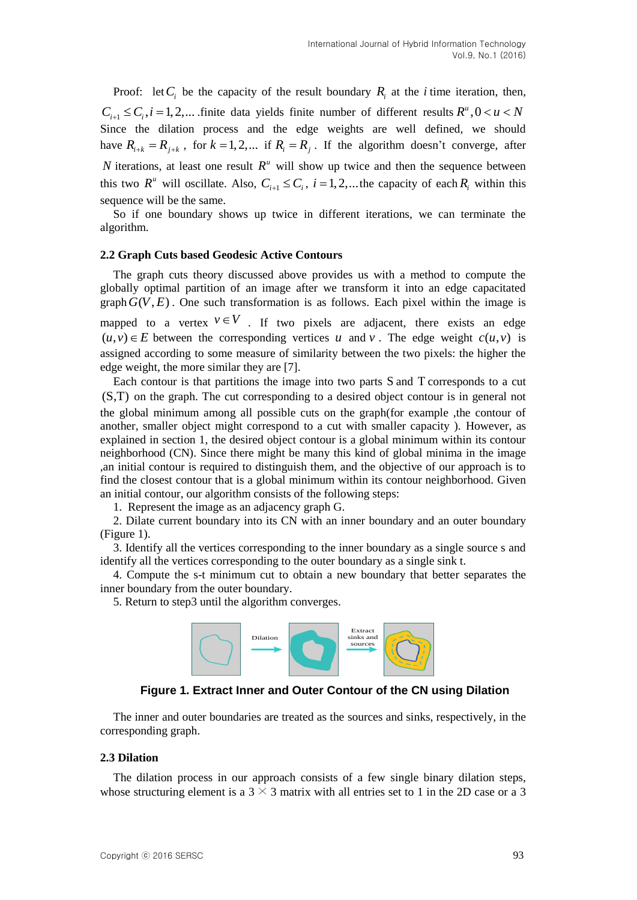Proof: let  $C_i$  be the capacity of the result boundary  $R_i$  at the *i* time iteration, then,  $C_{i+1} \leq C_i$ ,  $i = 1, 2, ...$  finite data yields finite number of different results  $R^u$ ,  $0 < u < N$ Since the dilation process and the edge weights are well defined, we should have  $R_{i+k} = R_{j+k}$ , for  $k = 1, 2,...$  if  $R_i = R_j$ . If the algorithm doesn't converge, after N iterations, at least one result  $R^u$  will show up twice and then the sequence between this two  $R^u$  will oscillate. Also,  $C_{i+1} \leq C_i$ ,  $i = 1, 2, ...$  the capacity of each  $R_i$  within this sequence will be the same.

So if one boundary shows up twice in different iterations, we can terminate the algorithm.

#### **2.2 Graph Cuts based Geodesic Active Contours**

The graph cuts theory discussed above provides us with a method to compute the globally optimal partition of an image after we transform it into an edge capacitated  $graph G(V, E)$ . One such transformation is as follows. Each pixel within the image is mapped to a vertex  $v \in V$ . If two pixels are adjacent, there exists an edge  $(u, v) \in E$  between the corresponding vertices u and v. The edge weight  $c(u, v)$  is assigned according to some measure of similarity between the two pixels: the higher the edge weight, the more similar they are [7].

Each contour is that partitions the image into two parts S and T corresponds to a cut (S,T) on the graph. The cut corresponding to a desired object contour is in general not the global minimum among all possible cuts on the graph(for example ,the contour of another, smaller object might correspond to a cut with smaller capacity ). However, as explained in section 1, the desired object contour is a global minimum within its contour neighborhood (CN). Since there might be many this kind of global minima in the image ,an initial contour is required to distinguish them, and the objective of our approach is to find the closest contour that is a global minimum within its contour neighborhood. Given an initial contour, our algorithm consists of the following steps:

1. Represent the image as an adjacency graph G.

2. Dilate current boundary into its CN with an inner boundary and an outer boundary (Figure 1).

3. Identify all the vertices corresponding to the inner boundary as a single source s and identify all the vertices corresponding to the outer boundary as a single sink t.

4. Compute the s-t minimum cut to obtain a new boundary that better separates the inner boundary from the outer boundary.

5. Return to step3 until the algorithm converges.



### **Figure 1. Extract Inner and Outer Contour of the CN using Dilation**

The inner and outer boundaries are treated as the sources and sinks, respectively, in the corresponding graph.

#### **2.3 Dilation**

The dilation process in our approach consists of a few single binary dilation steps, whose structuring element is a  $3 \times 3$  matrix with all entries set to 1 in the 2D case or a 3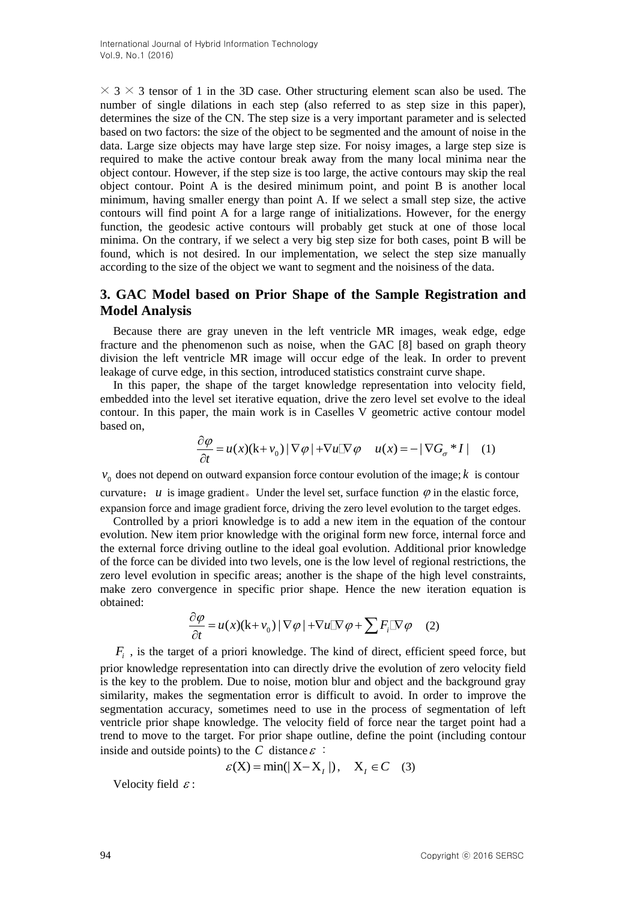$\times$  3  $\times$  3 tensor of 1 in the 3D case. Other structuring element scan also be used. The number of single dilations in each step (also referred to as step size in this paper), determines the size of the CN. The step size is a very important parameter and is selected based on two factors: the size of the object to be segmented and the amount of noise in the data. Large size objects may have large step size. For noisy images, a large step size is required to make the active contour break away from the many local minima near the object contour. However, if the step size is too large, the active contours may skip the real object contour. Point A is the desired minimum point, and point B is another local minimum, having smaller energy than point A. If we select a small step size, the active contours will find point A for a large range of initializations. However, for the energy function, the geodesic active contours will probably get stuck at one of those local minima. On the contrary, if we select a very big step size for both cases, point B will be found, which is not desired. In our implementation, we select the step size manually according to the size of the object we want to segment and the noisiness of the data.

## **3. GAC Model based on Prior Shape of the Sample Registration and Model Analysis**

Because there are gray uneven in the left ventricle MR images, weak edge, edge fracture and the phenomenon such as noise, when the GAC [8] based on graph theory division the left ventricle MR image will occur edge of the leak. In order to prevent leakage of curve edge, in this section, introduced statistics constraint curve shape.

In this paper, the shape of the target knowledge representation into velocity field, embedded into the level set iterative equation, drive the zero level set evolve to the ideal contour. In this paper, the main work is in Caselles V geometric active contour model based on,

$$
\frac{\partial \varphi}{\partial t} = u(x)(k + v_0) |\nabla \varphi| + \nabla u |\nabla \varphi u(x) = - |\nabla G_{\sigma} * I| \quad (1)
$$

 $v_0$  does not depend on outward expansion force contour evolution of the image;  $k$  is contour curvature;  $u$  is image gradient. Under the level set, surface function  $\varphi$  in the elastic force, expansion force and image gradient force, driving the zero level evolution to the target edges.

Controlled by a priori knowledge is to add a new item in the equation of the contour evolution. New item prior knowledge with the original form new force, internal force and the external force driving outline to the ideal goal evolution. Additional prior knowledge of the force can be divided into two levels, one is the low level of regional restrictions, the zero level evolution in specific areas; another is the shape of the high level constraints, make zero convergence in specific prior shape. Hence the new iteration equation is obtained:

$$
\frac{\partial \varphi}{\partial t} = u(x)(k + v_0) |\nabla \varphi| + \nabla u |\nabla \varphi + \sum F_i |\nabla \varphi \quad (2)
$$

*Fi* , is the target of a priori knowledge. The kind of direct, efficient speed force, but prior knowledge representation into can directly drive the evolution of zero velocity field is the key to the problem. Due to noise, motion blur and object and the background gray similarity, makes the segmentation error is difficult to avoid. In order to improve the segmentation accuracy, sometimes need to use in the process of segmentation of left ventricle prior shape knowledge. The velocity field of force near the target point had a trend to move to the target. For prior shape outline, define the point (including contour inside and outside points) to the C distance  $\varepsilon$ :

$$
\varepsilon(X) = \min(|X - X_1|), \quad X_1 \in C \quad (3)
$$

Velocity field  $\varepsilon$ :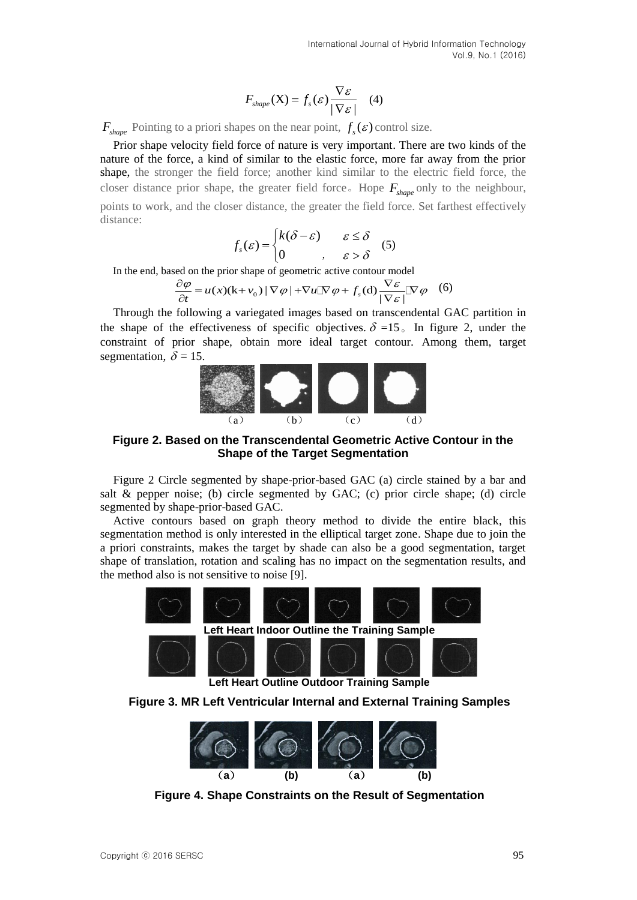$$
F_{shape}(\mathbf{X}) = f_s(\varepsilon) \frac{\nabla \varepsilon}{|\nabla \varepsilon|} \quad (4)
$$

 $F_{shape}$  Pointing to a priori shapes on the near point,  $f_s(\varepsilon)$  control size.

 $F_{\text{exp}}(x) = f_x(x) \frac{V_x}{|V_x|}$  (4)<br>  $F_{\text{exp}}$ , Phining to a priori shape on the near point,  $f_x(x)$  control size.<br>
Then dang velocity field forece of metric is very important. These are two kinds of the<br>
metric one a bidded Prior shape velocity field force of nature is very important. There are two kinds of the nature of the force, a kind of similar to the elastic force, more far away from the prior shape, the stronger the field force; another kind similar to the electric field force, the closer distance prior shape, the greater field force. Hope  $F_{shape}$  only to the neighbour, points to work, and the closer distance, the greater the field force. Set farthest effectively distance:

$$
f_s(\varepsilon) = \begin{cases} k(\delta - \varepsilon) & \varepsilon \le \delta \\ 0 & , \varepsilon > \delta \end{cases}
$$
 (5)

$$
[0, \quad, \varepsilon > \delta
$$
  
In the end, based on the prior shape of geometric active contour model  

$$
\frac{\partial \varphi}{\partial t} = u(x)(k+v_0) |\nabla \varphi| + \nabla u |\nabla \varphi + f_s(d)| \frac{\nabla \varepsilon}{|\nabla \varepsilon|} |\nabla \varphi|
$$
(6)

Through the following a variegated images based on transcendental GAC partition in the shape of the effectiveness of specific objectives.  $\delta = 15$  In figure 2, under the constraint of prior shape, obtain more ideal target contour. Among them, target segmentation,  $\delta = 15$ .



### **Figure 2. Based on the Transcendental Geometric Active Contour in the Shape of the Target Segmentation**

Figure 2 Circle segmented by shape-prior-based GAC (a) circle stained by a bar and salt & pepper noise; (b) circle segmented by GAC; (c) prior circle shape; (d) circle segmented by shape-prior-based GAC.

Active contours based on graph theory method to divide the entire black, this segmentation method is only interested in the elliptical target zone. Shape due to join the a priori constraints, makes the target by shade can also be a good segmentation, target shape of translation, rotation and scaling has no impact on the segmentation results, and the method also is not sensitive to noise [9].



**Left Heart Outline Outdoor Training Sample**

**Figure 3. MR Left Ventricular Internal and External Training Samples**



**Figure 4. Shape Constraints on the Result of Segmentation**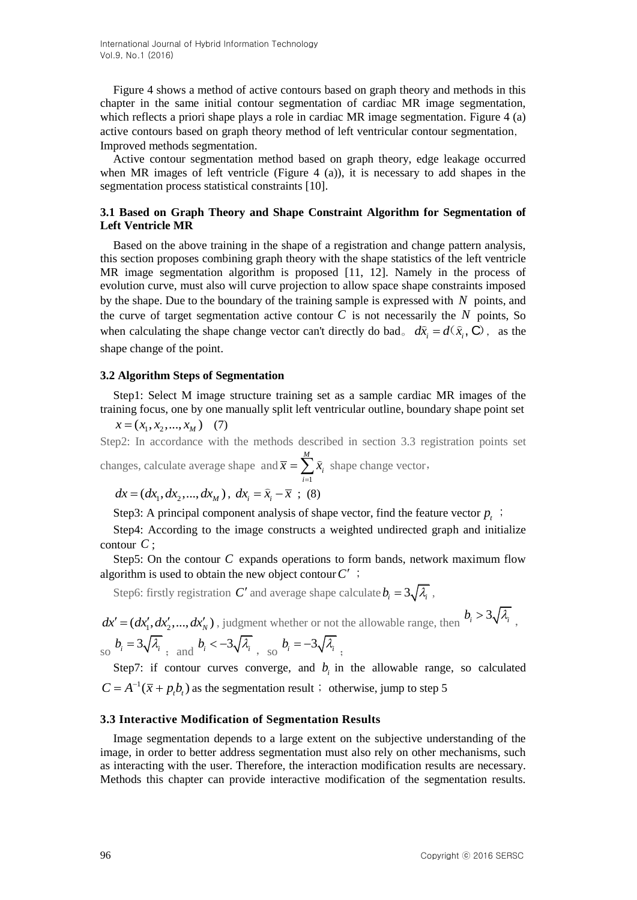International Journal of Hybrid Information Technology Vol.9, No.1 (2016)

Figure 4 shows a method of active contours based on graph theory and methods in this chapter in the same initial contour segmentation of cardiac MR image segmentation, which reflects a priori shape plays a role in cardiac MR image segmentation. Figure 4 (a) active contours based on graph theory method of left ventricular contour segmentation, Improved methods segmentation.

Active contour segmentation method based on graph theory, edge leakage occurred when MR images of left ventricle (Figure 4 (a)), it is necessary to add shapes in the segmentation process statistical constraints [10].

### **3.1 Based on Graph Theory and Shape Constraint Algorithm for Segmentation of Left Ventricle MR**

Based on the above training in the shape of a registration and change pattern analysis, this section proposes combining graph theory with the shape statistics of the left ventricle MR image segmentation algorithm is proposed [11, 12]. Namely in the process of evolution curve, must also will curve projection to allow space shape constraints imposed by the shape. Due to the boundary of the training sample is expressed with  $N$  points, and the curve of target segmentation active contour  $C$  is not necessarily the  $N$  points, So when calculating the shape change vector can't directly do bad<sub>o</sub>  $d\hat{x}_i = d(\hat{x}_i, \mathbf{C})$ , as the shape change of the point.

#### **3.2 Algorithm Steps of Segmentation**

Step1: Select M image structure training set as a sample cardiac MR images of the training focus, one by one manually split left ventricular outline, boundary shape point set

$$
x = (x_1, x_2, \dots, x_M) \quad (7)
$$

Step2: In accordance with the methods described in section 3.3 registration points set

changes, calculate average shape and 1 *M i i*  $\bar{x} = \sum \hat{x}$  $=\sum_{i=1} \hat{x}_i$  shape change vector,

$$
dx = (dx_1, dx_2, ..., dx_M), dx_i = \hat{x}_i - \bar{x}
$$
; (8)

Step3: A principal component analysis of shape vector, find the feature vector  $p_t$ ;

Step4: According to the image constructs a weighted undirected graph and initialize contour *C* ;

Step5: On the contour  $C$  expands operations to form bands, network maximum flow algorithm is used to obtain the new object contour  $C'$  ;

Step6: firstly registration C' and average shape calculate  $b_i = 3\sqrt{\lambda_i}$ ,

 $dx' = (dx'_1, dx'_2, ..., dx'_N)$ , judgment whether or not the allowable range, then  $b_i > 3\sqrt{\lambda_i}$ ,  $\int_{S} b_i = 3\sqrt{\lambda_i}$ , and  $b_i < -3\sqrt{\lambda_i}$ , so  $b_i = -3\sqrt{\lambda_i}$ ,

Step7: if contour curves converge, and  $b_i$  in the allowable range, so calculated  $C = A^{-1}(\bar{x} + p_t b_t)$  as the segmentation result; otherwise, jump to step 5

#### **3.3 Interactive Modification of Segmentation Results**

Image segmentation depends to a large extent on the subjective understanding of the image, in order to better address segmentation must also rely on other mechanisms, such as interacting with the user. Therefore, the interaction modification results are necessary. Methods this chapter can provide interactive modification of the segmentation results.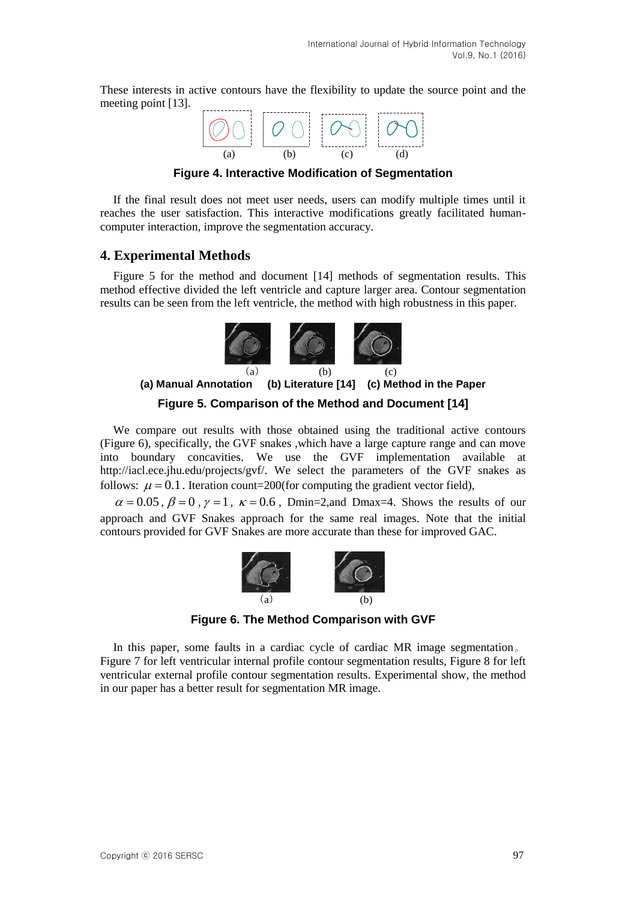These interests in active contours have the flexibility to update the source point and the meeting point [13].



**Figure 4. Interactive Modification of Segmentation**

If the final result does not meet user needs, users can modify multiple times until it reaches the user satisfaction. This interactive modifications greatly facilitated humancomputer interaction, improve the segmentation accuracy.

## **4. Experimental Methods**

Figure 5 for the method and document [14] methods of segmentation results. This method effective divided the left ventricle and capture larger area. Contour segmentation results can be seen from the left ventricle, the method with high robustness in this paper.



**Figure 5. Comparison of the Method and Document [14]**

We compare out results with those obtained using the traditional active contours (Figure 6), specifically, the GVF snakes ,which have a large capture range and can move into boundary concavities. We use the GVF implementation available at [http://iacl.ece.jhu.edu/projects/gvf/.](http://iacl.ece.jhu.edu/projects/gvf/) We select the parameters of the GVF snakes as follows:  $\mu = 0.1$ . Iteration count=200(for computing the gradient vector field),

 $\alpha = 0.05$ ,  $\beta = 0$ ,  $\gamma = 1$ ,  $\kappa = 0.6$ , Dmin=2, and Dmax=4. Shows the results of our approach and GVF Snakes approach for the same real images. Note that the initial contours provided for GVF Snakes are more accurate than these for improved GAC.



**Figure 6. The Method Comparison with GVF**

In this paper, some faults in a cardiac cycle of cardiac MR image segmentation。 Figure 7 for left ventricular internal profile contour segmentation results, Figure 8 for left ventricular external profile contour segmentation results. Experimental show, the method in our paper has a better result for segmentation MR image.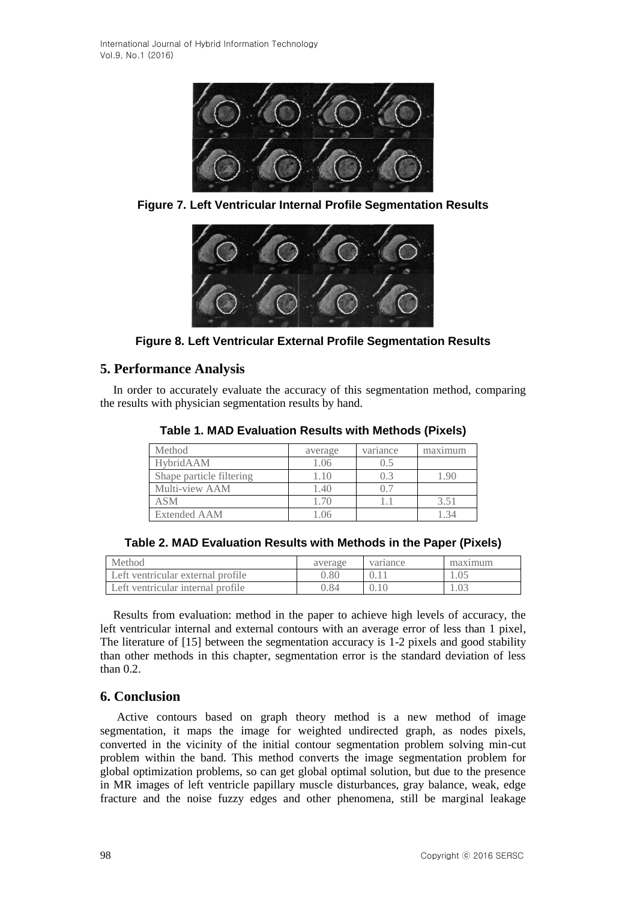

**Figure 7. Left Ventricular Internal Profile Segmentation Results**



**Figure 8. Left Ventricular External Profile Segmentation Results**

# **5. Performance Analysis**

In order to accurately evaluate the accuracy of this segmentation method, comparing the results with physician segmentation results by hand.

| Method                   | average | variance | maximum |
|--------------------------|---------|----------|---------|
| HybridAAM                | 1.06    | (0.5)    |         |
| Shape particle filtering | 1.10    | 0.3      | 90      |
| Multi-view AAM           | 1.40    | 07       |         |
| ASM                      | 1.70    |          | 3.51    |
| <b>Extended AAM</b>      | LO6     |          |         |

**Table 1. MAD Evaluation Results with Methods (Pixels)**

| Table 2. MAD Evaluation Results with Methods in the Paper (Pixels) |  |  |  |
|--------------------------------------------------------------------|--|--|--|
|--------------------------------------------------------------------|--|--|--|

| Method                            | average | variance | maximum |
|-----------------------------------|---------|----------|---------|
| Left ventricular external profile | 0.80    |          |         |
| Left ventricular internal profile | ).84    |          | .03     |

Results from evaluation: method in the paper to achieve high levels of accuracy, the left ventricular internal and external contours with an average error of less than 1 pixel, The literature of [15] between the segmentation accuracy is 1-2 pixels and good stability than other methods in this chapter, segmentation error is the standard deviation of less than 0.2.

# **6. Conclusion**

Active contours based on graph theory method is a new method of image segmentation, it maps the image for weighted undirected graph, as nodes pixels, converted in the vicinity of the initial contour segmentation problem solving min-cut problem within the band. This method converts the image segmentation problem for global optimization problems, so can get global optimal solution, but due to the presence in MR images of left ventricle papillary muscle disturbances, gray balance, weak, edge fracture and the noise fuzzy edges and other phenomena, still be marginal leakage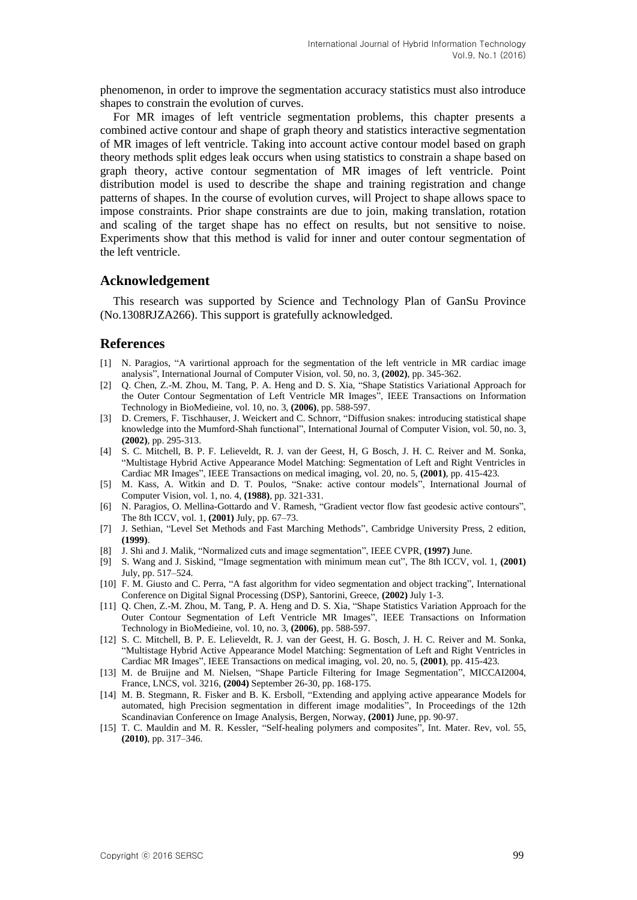phenomenon, in order to improve the segmentation accuracy statistics must also introduce shapes to constrain the evolution of curves.

For MR images of left ventricle segmentation problems, this chapter presents a combined active contour and shape of graph theory and statistics interactive segmentation of MR images of left ventricle. Taking into account active contour model based on graph theory methods split edges leak occurs when using statistics to constrain a shape based on graph theory, active contour segmentation of MR images of left ventricle. Point distribution model is used to describe the shape and training registration and change patterns of shapes. In the course of evolution curves, will Project to shape allows space to impose constraints. Prior shape constraints are due to join, making translation, rotation and scaling of the target shape has no effect on results, but not sensitive to noise. Experiments show that this method is valid for inner and outer contour segmentation of the left ventricle.

#### **Acknowledgement**

This research was supported by Science and Technology Plan of GanSu Province (No.1308RJZA266). This support is gratefully acknowledged.

### **References**

- [1] N. Paragios, "A varirtional approach for the segmentation of the left ventricle in MR cardiac image analysis", International Journal of Computer Vision, vol. 50, no. 3, **(2002)**, pp. 345-362.
- [2] Q. Chen, Z.-M. Zhou, M. Tang, P. A. Heng and D. S. Xia, "Shape Statistics Variational Approach for the Outer Contour Segmentation of Left Ventricle MR Images", IEEE Transactions on Information Technology in BioMedieine, vol. 10, no. 3, **(2006)**, pp. 588-597.
- [3] D. Cremers, F. Tischhauser, J. Weickert and C. Schnorr, "Diffusion snakes: introducing statistical shape knowledge into the Mumford-Shah functional", International Journal of Computer Vision, vol. 50, no. 3, **(2002)**, pp. 295-313.
- [4] S. C. Mitchell, B. P. F. Lelieveldt, R. J. van der Geest, H, G Bosch, J. H. C. Reiver and M. Sonka, "Multistage Hybrid Active Appearance Model Matching: Segmentation of Left and Right Ventricles in Cardiac MR Images", IEEE Transactions on medical imaging, vol. 20, no. 5, **(2001)**, pp. 415-423.
- [5] M. Kass, A. Witkin and D. T. Poulos, "Snake: active contour models", International Journal of Computer Vision, vol. 1, no. 4, **(1988)**, pp. 321-331.
- [6] N. Paragios, O. Mellina-Gottardo and V. Ramesh, "Gradient vector flow fast geodesic active contours", The 8th ICCV, vol. 1, **(2001)** July, pp. 67–73.
- [7] J. Sethian, "Level Set Methods and Fast Marching Methods", Cambridge University Press, 2 edition, **(1999)**.
- [8] J. Shi and J. Malik, "Normalized cuts and image segmentation", IEEE CVPR, **(1997)** June.
- [9] S. Wang and J. Siskind, "Image segmentation with minimum mean cut", The 8th ICCV, vol. 1, **(2001)** July, pp. 517–524.
- [10] F. M. Giusto and C. Perra, "A fast algorithm for video segmentation and object tracking", International Conference on Digital Signal Processing (DSP), Santorini, Greece, **(2002)** July 1-3.
- [11] Q. Chen, Z.-M. Zhou, M. Tang, P. A. Heng and D. S. Xia, "Shape Statistics Variation Approach for the Outer Contour Segmentation of Left Ventricle MR Images", IEEE Transactions on Information Technology in BioMedieine, vol. 10, no. 3, **(2006)**, pp. 588-597.
- [12] S. C. Mitchell, B. P. E. Lelieveldt, R. J. van der Geest, H. G. Bosch, J. H. C. Reiver and M. Sonka, "Multistage Hybrid Active Appearance Model Matching: Segmentation of Left and Right Ventricles in Cardiac MR Images", IEEE Transactions on medical imaging, vol. 20, no. 5, **(2001)**, pp. 415-423.
- [13] M. de Bruijne and M. Nielsen, "Shape Particle Filtering for Image Segmentation", MICCAI2004, France, LNCS, vol. 3216, **(2004)** September 26-30, pp. 168-175.
- [14] M. B. Stegmann, R. Fisker and B. K. Ersboll, "Extending and applying active appearance Models for automated, high Precision segmentation in different image modalities", In Proceedings of the 12th Scandinavian Conference on Image Analysis, Bergen, Norway, **(2001)** June, pp. 90-97.
- [15] T. C. Mauldin and M. R. Kessler, "Self-healing polymers and composites", Int. Mater. Rev, vol. 55, **(2010)**, pp. 317–346.